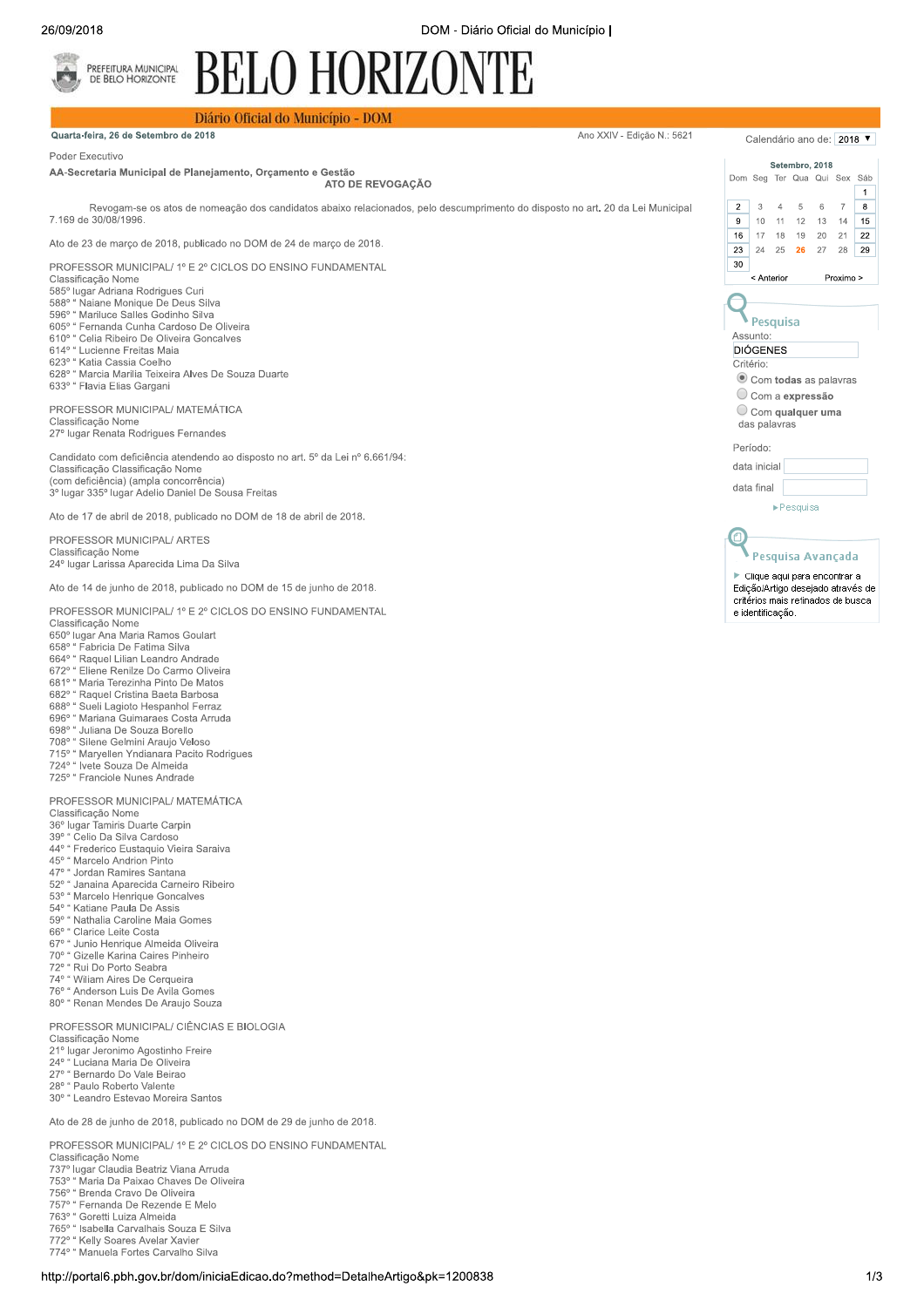Ano XXIV - Edição N.: 5621

## **BELO HORIZONTE** PREFEITURA MUNICIPAL<br>DE BELO HORIZONTE

## Diário Oficial do Município - DOM

Quarta-feira, 26 de Setembro de 2018

Poder Executivo

AA-Secretaria Municipal de Planejamento, Orçamento e Gestão ATO DE REVOGAÇÃO

Revogam-se os atos de nomeação dos candidatos abaixo relacionados, pelo descumprimento do disposto no art. 20 da Lei Municipal 7 169 de 30/08/1996

Ato de 23 de março de 2018, publicado no DOM de 24 de março de 2018.

PROFESSOR MUNICIPAL/ 1º E 2º CICLOS DO ENSINO FUNDAMENTAL

- Classificação Nome
- 
- Sabana Rodrigues Curi<br>585º lugar Adriana Rodrigues Curi<br>588º " Naiane Monique De Deus Silva<br>596º " Mariluce Salles Godinho Silva
- 605° " Fernanda Cunha Cardoso De Oliveira
- buo" Fernanda Cunha Cardoso De Oliveir<br>610° " Celia Ribeiro De Oliveira Goncalves<br>614° " Lucienne Freitas Maia
- 
- 623° " Katia Cassia Coelho
- 628° " Marcia Marilia Teixeira Alves De Souza Duarte 633° " Flavia Elias Gargani

PROFESSOR MUNICIPAL/ MATEMÁTICA Classificação Nome 27º lugar Renata Rodrigues Fernandes

Candidato com deficiência atendendo ao disposto no art. 5º da Lei nº 6.661/94: Classificação Classificação Nome (com deficiência) (ampla concorrência) 3º lugar 335º lugar Adelio Daniel De Sousa Freitas

Ato de 17 de abril de 2018, publicado no DOM de 18 de abril de 2018.

PROFESSOR MUNICIPAL/ ARTES Classificação Nome 24º lugar Larissa Aparecida Lima Da Silva

Ato de 14 de junho de 2018, publicado no DOM de 15 de junho de 2018.

PROFESSOR MUNICIPAL/ 1º E 2º CICLOS DO ENSINO FUNDAMENTAL Classificação Nome

- 650° lugar Ana Maria Ramos Goular
- 650 lugar Aria mana rama 2<br>658° " Fabricia De Fatima Silva<br>664° " Raquel Lilian Leandro Andrade
- 672° " Eliene Renilze Do Carmo Oliveira
- 672° Ellerie Renieze Do Gamile Since<br>681º " Maria Terezinha Pinto De Matos<br>682º " Raquel Cristina Baeta Barbosa
- 
- 688° " Sueli Lagioto Hespanhol Ferraz
- 696° "Mariana Guimaraes Costa Arruda
- 696° Manana Guimerucci Correli<br>698° "Juliana De Souza Borello<br>708° "Silene Gelmini Araujo Veloso
- 
- 715° "Maryellen Yndianara Pacito Rodrigues
- 724° " Ivete Souza De Almeida
- 725° " Franciole Nunes Andrade

PROFESSOR MUNICIPAL/ MATEMÁTICA

Classificação Nome<br>36º lugar Tamiris Duarte Carpin

- $39^\circ$ Celio Da Silva Cardoso
- 44º " Frederico Eustaquio Vieira Saraiva
- 45° " Marcelo Andrion Pinto
- 47° "Jordan Ramires Santana
- 52º " Janaina Aparecida Carneiro Ribeiro
- 53° " Marcelo Henrique Goncalves
- 54° " Katiane Paula De Assis
- 59° " Nathalia Caroline Maia Gomes
- 66° " Clarice Leite Costa
- oo" Clarice Leite Costa<br>67º " Junio Henrique Almeida Oliveira<br>70º " Gizelle Karina Caires Pinheiro
- 
- 72° " Rui Do Porto Seabra
- 74° " Wiliam Aires De Cerqueira
- 76° " Anderson Luis De Avila Gomes
- 80° " Renan Mendes De Araujo Souza

PROFESSOR MUNICIPAL/ CIÊNCIAS E BIOLOGIA Classificação Nome

21º lugar Jeronimo Agostinho Freire

- 24° " Luciana Maria De Oliveira
- 
- 24 Luciana mana De Sirre.<br>27º " Bernardo Do Vale Beirao<br>28º " Paulo Roberto Valente

30° " Leandro Estevao Moreira Santos

Ato de 28 de junho de 2018, publicado no DOM de 29 de junho de 2018.

PROFESSOR MUNICIPAL/ 1º E 2º CICLOS DO ENSINO FUNDAMENTAL

- Classificação Nome
- 737° lugar Claudia Beatriz Viana Arruda 753° " Maria Da Paixao Chaves De Oliveira
- 756° "Brenda Cravo De Oliveira
- 756° Frenda Gravo De Ontono<br>757º " Fernanda De Rezende E Melo<br>763º " Goretti Luiza Almeida
- 
- 765° " Isabella Carvalhais Souza E Silva
- 1991 Isabella Carvalhano Ocuzul L. C.<br>1972° " Kelly Soares Avelar Xavier<br>1974° " Manuela Fortes Carvalho Silva
- 



Calendário ano de: 2018 ▼

Sáb

 $\overline{1}$ 

 $15$ 

Setembro, 2018

Dom Seg Ter Qua Qui Sex

 $10 - 11$ 

 $\overline{2}$  $\mathcal{R}$  $\overline{4}$ -5 6  $\overline{7}$  $\mathbf{g}$ 

 $\overline{9}$ 

 $16$ 

 $\overline{23}$ 

 $30$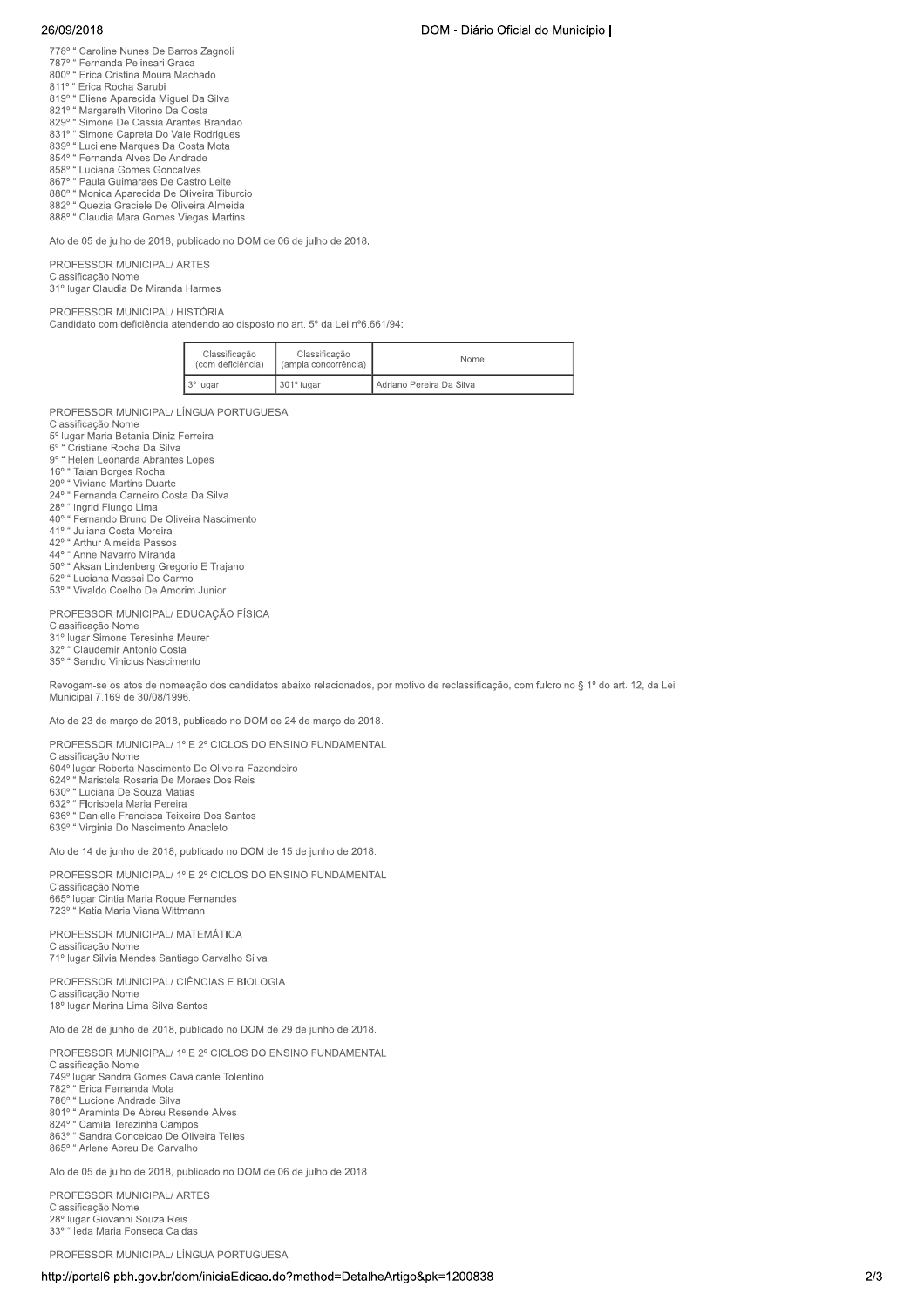## 26/09/2018

- 778° " Caroline Nunes De Barros Zagnoli<br>787° " Fernanda Pelinsari Graca
- 
- 800° " Erica Cristina Moura Machado
- 811° " Erica Rocha Sarubi
- 811 Erica Nobria Jardini<br>819º " Eliene Aparecida Miguel Da Silva<br>821º " Margareth Vitorino Da Costa
- 829° " Simone De Cassia Arantes Brandao
- 831° "Simone Capreta Do Vale Rodrigues
- 839° " Lucilene Marques Da Costa Mota
- 854° " Fernanda Alves De Andrade
- 858° " Luciana Gomes Goncalves
- 850° Luciana Gomes Concarvo<br>867º " Paula Guimaraes De Castro Leite<br>880º " Monica Aparecida De Oliveira Tiburcio
- 882º " Quezia Graciele De Oliveira Almeida
- 888° " Claudia Mara Gomes Viegas Martins

Ato de 05 de julho de 2018, publicado no DOM de 06 de julho de 2018.

PROFESSOR MUNICIPAL/ ARTES Classificação Nome 31º lugar Claudia De Miranda Harmes

PROFESSOR MUNICIPAL/HISTÓRIA Candidato com deficiência atendendo ao disposto no art. 5º da Lei nº6.661/94:

| Classificação<br>(com deficiência) | Classificação<br>(ampla concorrência) | Nome                     |
|------------------------------------|---------------------------------------|--------------------------|
| 3 <sup>°</sup> lugar               | 301° lugar                            | Adriano Pereira Da Silva |

PROFESSOR MUNICIPAL/ LÍNGUA PORTUGUESA

- Classificação Nome
- 5º lugar Maria Betania Diniz Ferreira
- 6° " Cristiane Rocha Da Silva 9° "Helen Leonarda Abrantes Lopes
- a Helen Leonarda Abraha<br>16º " Taian Borges Rocha<br>20º " Viviane Martins Duarte
- 
- 
- 
- 20" viviame iviama polarista<br>24º " Fernanda Carneiro Costa Da Silva<br>28º " Ingrid Fiungo Lima<br>40º " Fernando Bruno De Oliveira Nascimento
- 41º " Juliana Costa Moreira
- 41° Juliana Costa Morence<br>42° "Arthur Almeida Passos<br>44° "Anne Navarro Miranda
- 
- 50° " Aksan Lindenberg Gregorio E Trajano 50° Aksan Emperiescry Stegens L. Ingl<br>52° " Luciana Massai Do Carmo<br>53° " Vivaldo Coelho De Amorim Junior
- 

PROFESSOR MUNICIPAL/ EDUCAÇÃO FÍSICA

- Classificação Nome<br>31º lugar Simone Teresinha Meurer
- Claudemir Antonio Costa

35° " Sandro Vinicius Nascimento

Revogam-se os atos de nomeação dos candidatos abaixo relacionados, por motivo de reclassificação, com fulcro no § 1º do art. 12, da Lei Municipal 7.169 de 30/08/1996

Ato de 23 de março de 2018, publicado no DOM de 24 de março de 2018.

PROFESSOR MUNICIPAL/ 1º E 2º CICLOS DO ENSINO FUNDAMENTAL

Classificação Nome<br>604º lugar Roberta Nascimento De Oliveira Fazendeiro

624° " Maristela Rosaria De Moraes Dos Reis

630° " Luciana De Souza Matias

oso<sup>s</sup> Luciana De Souza Matias<br>632º " Florisbela Maria Pereira<br>636º " Danielle Francisca Teixeira Dos Santos

639° " Virginia Do Nascimento Anacleto

Ato de 14 de junho de 2018, publicado no DOM de 15 de junho de 2018.

PROFESSOR MUNICIPAL/ 1º E 2º CICLOS DO ENSINO FUNDAMENTAL Classificação Nome Classificação Nome<br>665º lugar Cintia Maria Roque Fernandes<br>723º " Katia Maria Viana Wittmann

PROFESSOR MUNICIPAL/ MATEMÁTICA Classificação Nome 71º lugar Silvia Mendes Santiago Carvalho Silva

PROFESSOR MUNICIPAL/ CIÊNCIAS E BIOLOGIA Classificação Nome 18º lugar Marina Lima Silva Santos

Ato de 28 de junho de 2018, publicado no DOM de 29 de junho de 2018.

PROFESSOR MUNICIPAL/ 1º E 2º CICLOS DO ENSINO FUNDAMENTAL

Classificação Nome 749° lugar Sandra Gomes Cavalcante Tolentino 782° " Erica Fernanda Mota 782° " Erica Fernanda Mota<br>786° " Lucione Andrade Silva<br>801° " Araminta De Abreu Resende Alves 824° " Camila Terezinha Campos 863º " Sandra Conceicao De Oliveira Telles 865° " Arlene Abreu De Carvalho

Ato de 05 de julho de 2018, publicado no DOM de 06 de julho de 2018.

PROFESSOR MUNICIPAL/ ARTES Classificação Nome 28º lugar Giovanni Souza Reis<br>33º " leda Maria Fonseca Caldas

PROFESSOR MUNICIPAL/ LÍNGUA PORTUGUESA